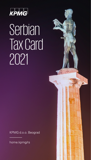

# Serbian Tax Card 2021

KPMG d.o.o. Beograd

[home.kpmg/rs](http://www.kpmg.com/rs)

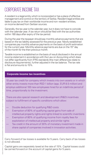### CORPORATE INCOME TAX

A resident is a legal entity which is incorporated or has a place of effective management and control on the territory of Serbia. Resident legal entities are liable to pay tax on their worldwide income and non- resident entities, on income derived from Serbian sources.

Generally, the tax year is the calendar year, but it does not have to coincide with the calendar year. A tax return should be filed with the tax authorities within 180 days after expiry of the tax period.

During the year the taxpayer should pay monthly advance payments that are based on the tax liability assessed for the previous year. Newly established companies pay monthly advance payments on the basis of profit estimation for the current year. Monthly advance payments are due on the 15<sup>th</sup> day of the month for the then previous month.

Taxable income is established on the basis of result disclosed in the annual income statement in accordance with the Law on Accounting which does not differ significantly from IFRS standards (the main differences relate to disclosure requirements), further adjusted in the tax balance. The tax rate is flat and amounts to 15%.

#### **Corporate income tax incentives**

10 year tax credit for company which invests into own assets or in which other entity invests more than RSD 1 billion (app. EUR 8.5 million) and employs additional 100 new employees hired for an indefinite period of time, proportionally to the investment.

There are also special research and development (R&D) incentives subject to fulfillment of specific conditions which allow:

- Double deduction for qualifying R&D costs
- Exemption of 80% of qualifying capital gains from sale of
- intellectual property rights and rights linked to scientific inventions
- Exemption of 80% of qualifying income from royalty fees for exploitation of intellectual property and similar rights
- Tax credit in the amount of 30% of monetary investment made in share capital of companies involved in innovation activities.

Carry forward of tax losses is available for 5 years. Carry back of tax losses is not allowed.

Capital gains are separately taxed at the rate of 15%. Capital losses could be carried forward on the account of capital gains for 5 years.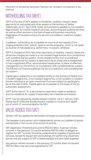Payment of dividends between Serbian tax resident companies is tax exempt.

## WITHHOLDING TAX (WHT)

WHT at the rate of 20% applies to dividends, royalties, interest, lease payments for real estate and other assets on the territory of Serbia. Additionally, as of 1 April 2018, solely remunerations payable to non-resident legal entities, for market research services, accounting and auditing services, as well as other services in the field of legal and business consulting (regardless of the place where the service is provided or used) are subject to WHT.

In addition, withholding tax is payable on income of non-resident from staging entertainment, artistic, sport or similar programs, which is not taxed as income of individuals (e.g. performers, musicians, athletes).

WHT is charged at 25% rate when payments of royalties, interest, lease and all service charges are made to a non-resident legal entities from jurisdictions with a preferential tax system. A non-resident entity from a jurisdiction with a preferential tax system is deemed to be an entity that is established or has a registered office, administrative headquarter, or place of effective management on the territory of a jurisdiction with a preferential tax system. The Ministry of Finance publishes the list of jurisdictions with a preferential tax system.

Capital gains realized by a non-resident entity on the territory of Serbia from a resident legal entity, a non-resident legal entity, a non-resident or resident private individual or an open investment fund are subject to capital gains tax at the rate of 20%. Capital gains tax is payable on the basis of the tax authorities' assessment.

WHT at the rate of 1% is also levied on payments made to residents and non-residents for supply of secondary raw materials and wastes.

WHT may be reduced by double taxation treaties. As at 1 January 2021 Serbia has 61 effective double taxation treaties on income and capital out of which 31 are amended by the MLI.

## VALUE ADDED TAX (VAT)

Serbian VAT law applies the destination principle to cross-border transactions.

The taxpayer is any person who independently carries out supplies of goods and services in the course of its economic activity.

VAT registration threshold amounts to RSD 8 million. A person whose turnover in the previous 12 months exceeds RSD 8 million is obliged to register for VAT. Turnover should be understood as supplies of goods and services, except for equipment and buildings, for performing a business activity that are subject to VAT in Serbia (taxable and zero rated supplies).

Any person whose turnover in the previous 12 months does not exceed RSD 8 million may opt to be registered for VAT.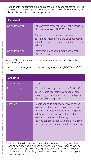A foreign entity performing supplies in Serbia is obliged to register for VAT via appointed tax proxy except when supply is performed to Serbian VAT payers, public entities or if it is certain transportation service.

| <b>Tax period</b> |                                                                                                                                                                                                                                          |
|-------------------|------------------------------------------------------------------------------------------------------------------------------------------------------------------------------------------------------------------------------------------|
| Calendar month    | For taxpayers whose turnover in the previous<br>12 months exceeds RSD 50 million<br>For taxpayers who start up business<br>operations – tax period is the calendar month<br>in the first year of operations and the year that<br>follows |
| Calendar quarter  | For taxpayers whose turnover is lower than<br>RSD 50 million                                                                                                                                                                             |

Import VAT is payable according to terms prescribed for the payment of customs duties.

It is not possible for group companies to register as a single VAT entity VAT grouping).

| <b>VAT</b> rates |                                                                                                                                                                                                                                                                                                                                                         |
|------------------|---------------------------------------------------------------------------------------------------------------------------------------------------------------------------------------------------------------------------------------------------------------------------------------------------------------------------------------------------------|
| Standard rate    | 20%                                                                                                                                                                                                                                                                                                                                                     |
| Reduced rate     | 10% applies on supplies of basic foodstuffs,<br>'listed' medicines, daily newspapers, hotel<br>services, gas, first transfer of ownership on<br>residential buildings, etc.                                                                                                                                                                             |
| Zero rate        | Export of goods; transportation and other<br>services in direct relation to export, transit or<br>temporary import of goods; entry of goods<br>in free zones and transportation and other<br>services in relation to the entry of goods into<br>the free zone; supplies within the free zone;<br>repairing or incorporating and then exporting.<br>etc. |

Tax exemption without credit is provided for the following supplies: financial, banking and insurance services, supplies of land, as well as rent of land; the supply of buildings, except first transfer of buildings; public interest activities (e.g. medical services, social, child and youth welfare services), etc.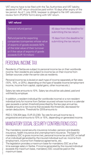VAT returns have to be filed with the Tax Authorities and VAT liability declared in VAT return should be paid within 15 days after expiry of the tax period. As of 1 July 2018, taxpayer is obliged to file VAT calculation review form (POPDV form) along with VAT return.

| <b>VAT refund</b>                                                                                                                                                                                            |                                                             |  |  |  |
|--------------------------------------------------------------------------------------------------------------------------------------------------------------------------------------------------------------|-------------------------------------------------------------|--|--|--|
| General refund period                                                                                                                                                                                        | 45 days from the deadline for<br>submitting the tax return  |  |  |  |
| Refund period for exporting<br>companies (companies whose value<br>of exports of goods exceeds 50%<br>of the total value of their turnover<br>or if the value of exports of goods<br>exceeds EUR 10 million) | 15 days from the deadline for<br>submitting the tax returns |  |  |  |

## PERSONAL INCOME TAX

Residents of Serbia are subject to personal income tax on their worldwide income. Non-residents are subject to income tax on their income from Serbian sources under the same rules as residents.

Personal income tax is levied on each type of income separately at flat rates (10%, 15%, or 20%), depending on the type of taxable income (employment income, income from capital, capital gains, other incomes etc.).

Salary tax rate amounts to 10%. Salary tax should be calculated, paid and withheld by employer.

In addition, a resident individual (for worldwide income) or a non-resident individual (only for income from Serbian sources) whose income in a calendar year exceeds a certain threshold prescribed by the law pays annual tax. Taxable amount is net income that exceeds the threshold, decreased for certain deductions. Threshold for 2019 amounts to

RSD 2,729,304 (app. EUR 23,230). Tax rate for annual income tax is progressive and amounts to 10% or 15%, depending on generated income.

# MANDATORY SOCIAL SECURITY CONTRIBUTIONS (SSC)

The mandatory social security insurance includes: pension and disability insurance, health insurance and unemployment insurance. The base for mandatory SSC is gross income (net, personal income tax and SSC on behalf of an individual) generated by the insured individual such as: income from employment, income from freelance agreements, etc.

The legislation provides a maximum base for mandatory SSC as a five time average salary in Serbia. If income generated by the insured individual exceeds the maximum base, mandatory SSC would be paid on the maximum base.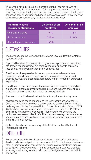The surplus amount is subject only to personal income tax. As of 1 January 2018, the determination of the highest and lowest monthly contribution base, the highest annual contribution base and the highest assessed annual contribution base is made once a year. In this manner determined amounts apply for the entire calendar year.

| <b>Mandatory social</b><br>security contributions | On behalf of an<br>employee | On behalf of an<br>employer |
|---------------------------------------------------|-----------------------------|-----------------------------|
| Pension insurance                                 | 14%                         | 11.5%                       |
| Health insurance                                  | 5.15%                       | 5.15%                       |
| Unemployment insurance                            | 0.75%                       |                             |

## CLISTOMS DUTIES

The Law on Customs Tariffs and the Customs Law regulate the customs system in Serbia.

Export is liberalized for the majority of goods, except for arms, medicines, etc. Import of goods is free, but certain goods are subject to approvals, restrictions, sanitary and phytosanitary controls, etc.

The Customs Law provides 9 customs procedures: release for free circulation, transit, customs warehousing, free zone storage, inward processing, outward processing, temporary import, temporary export and exportation.

For all these procedures, except for release for free circulation, transit and exportation, customs authorization is required and in some situations an evaluation of their economic impact may be required also.

The customs tariff is based on the internationally harmonized system

of description and codes of goods, as well as the tariff codes of the EU. Customs rates range between 0 percent and 30 percent. Serbia has free trade regime with the European Union, Russia, Kazakhstan, Belarus, EFTA (Switzerland, Norway, Iceland, and Liechtenstein), Turkey, CEFTA (Albania, Bosnia and Herzegovina, Macedonia, Montenegro, Moldova and the territory of Kosovo and Metohija\*). This customs-free regime covers most key industrial products, with only a few exceptions and annual quotas for a limited number of goods.

Serbia is also a beneficiary country of the USA Generalized System of Preferences scheme.

## EXCISE DUTIES

Excise duties are levied on the production and import of: oil derivatives (leaded and unleaded petrol, kerosene, gas oil, LPG, additives and extenders, other oil derivatives that come from oil fractions with a distillation range of up to 380°C); bio fuel, electricity for final consumption, tobacco products including non-burning tobacco; refill liquid for e-cigarettes; alcoholic drinks and coffee.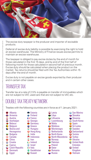

The excise duty taxpayer is the producer and importer of excisable products.

Deferral of excise duty liability is possible by exercising the right to hold an excise warehouse. The Ministry of Finance issues excise permits to maintain an excise warehouse.

The taxpayer is obliged to pay excise duties by the end of month for those calculated in the first 15 days, and by end of the first half of following month for those calculated in second half of previous month. Excise duty should be calculated when placing the product on the market. Tax returns should be filed with the Tax Authorities within 15 days after the end of month.

Excise duty is not payable on excise goods exported by their producer and in certain other cases.

### TRANSFER TAX

Transfer tax at a rate of 2.5% is payable on transfer of immovables which are not subject to VAT, used cars that are not subject to VAT, etc.

## DOUBLE TAX TREATY NETWORK

Treaties with the following countries are in force as of 1 January 2021:

- Albania Armenia  $\bigcirc$  Austria **Azerbaijan Belarus Belgium Bosnia and Herzegovina**  $\bigcirc$  Bulgaria Canada **O** China Croatia Cyprus Czech Republic **Denmark** Egypt
- Estonia
- Finland
- **D** France
- **Georgia**
- **Germany**
- **<sup>⊕</sup>** Greece
- $\Rightarrow$  Hungary
- **B** Hong Kong
- $\bullet$  India
- $\bigcirc$  Indonesia
- $\bullet$  Iran
- **O** Ireland
- Israel
- **O** Italy
- **Kazakhstan**
- **C** Kuwait
- Latvia  $\blacksquare$ Lihya **Lithuania** Luxembourg Malta Moldova **Montenegro Netherlands O** North Korea North Macedonia **C** Turkey **<sup></sub>** Norway</sup> **Pakistan** Poland  $\blacksquare$  Oatar **O** Romania  $\bigcirc$  Russia
	- San Marino **G** Slovakia Slovenia **■** South Korea Spain **C** Sri Lanka **Sweden C** Switzerland **O** Tunisia **■** Ukraine **C** United Arab **Emirates B** United Kingdom **O** Vietnam